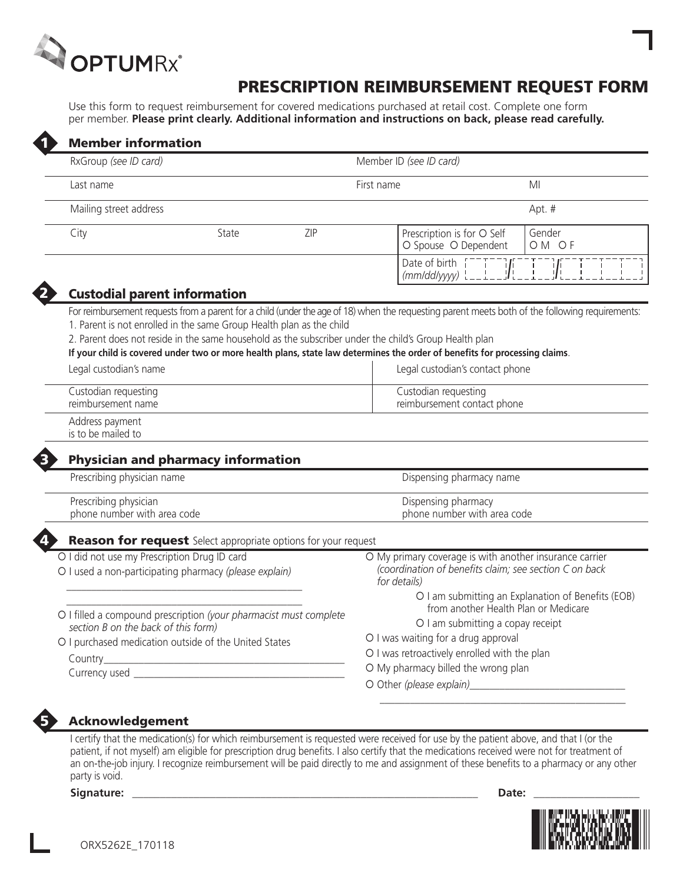

# PRESCRIPTION REIMBURSEMENT REQUEST FORM

Use this form to request reimbursement for covered medications purchased at retail cost. Complete one form per member. **Please print clearly. Additional information and instructions on back, please read carefully.**

| <b>Member information</b>                                                                                                                                                                                                                                                                                                             |       |     |                                                    |                                                                                                                                   |                                                                                                                                                 |  |  |  |
|---------------------------------------------------------------------------------------------------------------------------------------------------------------------------------------------------------------------------------------------------------------------------------------------------------------------------------------|-------|-----|----------------------------------------------------|-----------------------------------------------------------------------------------------------------------------------------------|-------------------------------------------------------------------------------------------------------------------------------------------------|--|--|--|
| RxGroup (see ID card)                                                                                                                                                                                                                                                                                                                 |       |     | Member ID (see ID card)                            |                                                                                                                                   |                                                                                                                                                 |  |  |  |
| Last name                                                                                                                                                                                                                                                                                                                             |       |     | First name                                         |                                                                                                                                   | MI                                                                                                                                              |  |  |  |
| Mailing street address                                                                                                                                                                                                                                                                                                                |       |     |                                                    |                                                                                                                                   | Apt. #                                                                                                                                          |  |  |  |
| City                                                                                                                                                                                                                                                                                                                                  | State | ZIP |                                                    | Prescription is for O Self<br>O Spouse O Dependent                                                                                | Gender<br>OM OF                                                                                                                                 |  |  |  |
|                                                                                                                                                                                                                                                                                                                                       |       |     |                                                    | Date of birth [<br>(mm/dd/yyyy)                                                                                                   |                                                                                                                                                 |  |  |  |
| <b>Custodial parent information</b>                                                                                                                                                                                                                                                                                                   |       |     |                                                    |                                                                                                                                   |                                                                                                                                                 |  |  |  |
| 1. Parent is not enrolled in the same Group Health plan as the child<br>2. Parent does not reside in the same household as the subscriber under the child's Group Health plan<br>If your child is covered under two or more health plans, state law determines the order of benefits for processing claims.<br>Legal custodian's name |       |     |                                                    | Legal custodian's contact phone                                                                                                   | For reimbursement requests from a parent for a child (under the age of 18) when the requesting parent meets both of the following requirements: |  |  |  |
| Custodian requesting<br>reimbursement name                                                                                                                                                                                                                                                                                            |       |     |                                                    | Custodian requesting<br>reimbursement contact phone                                                                               |                                                                                                                                                 |  |  |  |
| Address payment<br>is to be mailed to                                                                                                                                                                                                                                                                                                 |       |     |                                                    |                                                                                                                                   |                                                                                                                                                 |  |  |  |
| <b>Physician and pharmacy information</b>                                                                                                                                                                                                                                                                                             |       |     |                                                    |                                                                                                                                   |                                                                                                                                                 |  |  |  |
| Prescribing physician name                                                                                                                                                                                                                                                                                                            |       |     |                                                    | Dispensing pharmacy name                                                                                                          |                                                                                                                                                 |  |  |  |
| Prescribing physician<br>phone number with area code                                                                                                                                                                                                                                                                                  |       |     | Dispensing pharmacy<br>phone number with area code |                                                                                                                                   |                                                                                                                                                 |  |  |  |
| <b>Reason for request</b> Select appropriate options for your request                                                                                                                                                                                                                                                                 |       |     |                                                    |                                                                                                                                   |                                                                                                                                                 |  |  |  |
| O I did not use my Prescription Drug ID card<br>O I used a non-participating pharmacy (please explain)                                                                                                                                                                                                                                |       |     |                                                    | O My primary coverage is with another insurance carrier<br>(coordination of benefits claim; see section C on back<br>for details) |                                                                                                                                                 |  |  |  |
| O I filled a compound prescription (your pharmacist must complete<br>section B on the back of this form)                                                                                                                                                                                                                              |       |     |                                                    | from another Health Plan or Medicare<br>O I am submitting a copay receipt                                                         | O I am submitting an Explanation of Benefits (EOB)                                                                                              |  |  |  |
| O I purchased medication outside of the United States                                                                                                                                                                                                                                                                                 |       |     |                                                    | O I was waiting for a drug approval<br>O I was retroactively enrolled with the plan                                               |                                                                                                                                                 |  |  |  |
| Currency used                                                                                                                                                                                                                                                                                                                         |       |     |                                                    | O My pharmacy billed the wrong plan                                                                                               |                                                                                                                                                 |  |  |  |
|                                                                                                                                                                                                                                                                                                                                       |       |     |                                                    |                                                                                                                                   |                                                                                                                                                 |  |  |  |

### Acknowledgement

I certify that the medication(s) for which reimbursement is requested were received for use by the patient above, and that I (or the patient, if not myself) am eligible for prescription drug benefits. I also certify that the medications received were not for treatment of an on-the-job injury. I recognize reimbursement will be paid directly to me and assignment of these benefits to a pharmacy or any other party is void.

**Signature: \_\_\_\_\_\_\_\_\_\_\_\_\_\_\_\_\_\_\_\_\_\_\_\_\_\_\_\_\_\_\_\_\_\_\_\_\_\_\_\_\_\_\_\_\_\_\_\_\_\_\_\_\_\_\_\_\_\_\_\_\_\_ Date: \_\_\_\_\_\_\_\_\_\_\_\_\_\_\_\_\_\_\_**

5

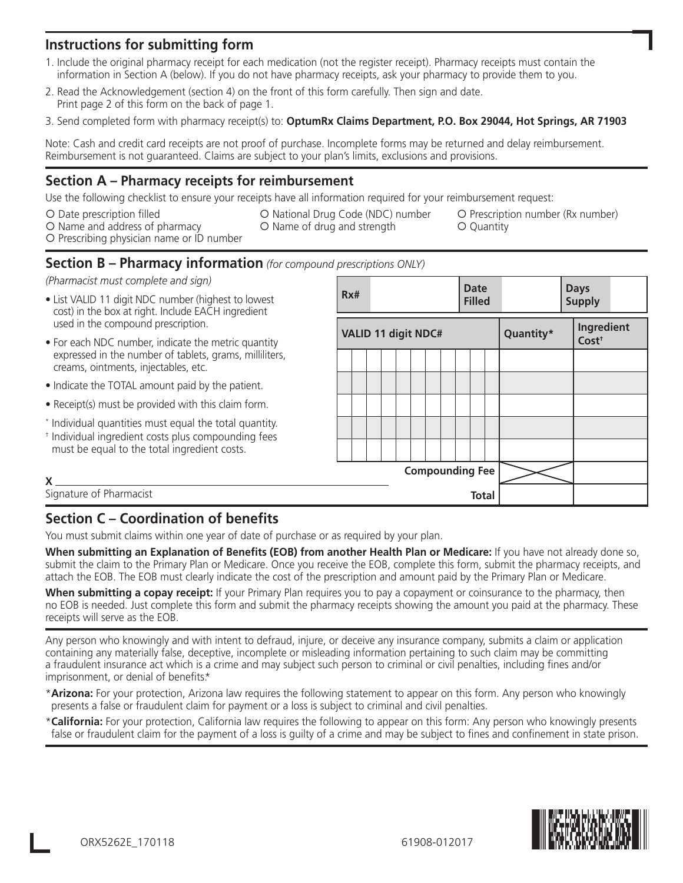## **Instructions for submitting form**

- 1. Include the original pharmacy receipt for each medication (not the register receipt). Pharmacy receipts must contain the information in Section A (below). If you do not have pharmacy receipts, ask your pharmacy to provide them to you.
- 2. Read the Acknowledgement (section 4) on the front of this form carefully. Then sign and date. Print page 2 of this form on the back of page 1.
- 3. Send completed form with pharmacy receipt(s) to: **OptumRx Claims Department, P.O. Box 29044, Hot Springs, AR 71903**

Note: Cash and credit card receipts are not proof of purchase. Incomplete forms may be returned and delay reimbursement. Reimbursement is not guaranteed. Claims are subject to your plan's limits, exclusions and provisions.

### **Section A – Pharmacy receipts for reimbursement**

Use the following checklist to ensure your receipts have all information required for your reimbursement request:

- O Date prescription filled **National Drug Code (NDC)** number **O** Prescription number (Rx number)
- O Name and address of pharmacy **Name of druge and strength Q** Quantity
- O Prescribing physician name or ID number

# **Section B – Pharmacy information** *(for compound prescriptions ONLY)*

*(Pharmacist must complete and sign)*

- List VALID 11 digit NDC number (highest to lowest cost) in the box at right. Include EACH ingredient used in the compound prescription.
- For each NDC number, indicate the metric quantity expressed in the number of tablets, grams, milliliters, creams, ointments, injectables, etc.
- Indicate the TOTAL amount paid by the patient.
- Receipt(s) must be provided with this claim form.

\* Individual quantities must equal the total quantity.

† Individual ingredient costs plus compounding fees must be equal to the total ingredient costs.

| Rx# |                            |  |  |  |  |  |  |  | <b>Date</b><br><b>Filled</b> |           |  |                                 | <b>Days</b><br><b>Supply</b> |  |
|-----|----------------------------|--|--|--|--|--|--|--|------------------------------|-----------|--|---------------------------------|------------------------------|--|
|     | <b>VALID 11 digit NDC#</b> |  |  |  |  |  |  |  |                              | Quantity* |  | Ingredient<br>Cost <sup>+</sup> |                              |  |
|     |                            |  |  |  |  |  |  |  |                              |           |  |                                 |                              |  |
|     |                            |  |  |  |  |  |  |  |                              |           |  |                                 |                              |  |
|     |                            |  |  |  |  |  |  |  |                              |           |  |                                 |                              |  |
|     |                            |  |  |  |  |  |  |  |                              |           |  |                                 |                              |  |
|     |                            |  |  |  |  |  |  |  |                              |           |  |                                 |                              |  |
|     | <b>Compounding Fee</b>     |  |  |  |  |  |  |  |                              |           |  |                                 |                              |  |
|     | <b>Total</b>               |  |  |  |  |  |  |  |                              |           |  |                                 |                              |  |

Signature of Pharmacist

**X**

## **Section C – Coordination of benefits**

You must submit claims within one year of date of purchase or as required by your plan.

**When submitting an Explanation of Benefits (EOB) from another Health Plan or Medicare:** If you have not already done so, submit the claim to the Primary Plan or Medicare. Once you receive the EOB, complete this form, submit the pharmacy receipts, and attach the EOB. The EOB must clearly indicate the cost of the prescription and amount paid by the Primary Plan or Medicare.

**When submitting a copay receipt:** If your Primary Plan requires you to pay a copayment or coinsurance to the pharmacy, then no EOB is needed. Just complete this form and submit the pharmacy receipts showing the amount you paid at the pharmacy. These receipts will serve as the EOB.

Any person who knowingly and with intent to defraud, injure, or deceive any insurance company, submits a claim or application containing any materially false, deceptive, incomplete or misleading information pertaining to such claim may be committing a fraudulent insurance act which is a crime and may subject such person to criminal or civil penalties, including fines and/or imprisonment, or denial of benefits.\*

\***Arizona:** For your protection, Arizona law requires the following statement to appear on this form. Any person who knowingly presents a false or fraudulent claim for payment or a loss is subject to criminal and civil penalties.

\***California:** For your protection, California law requires the following to appear on this form: Any person who knowingly presents false or fraudulent claim for the payment of a loss is guilty of a crime and may be subject to fines and confinement in state prison.